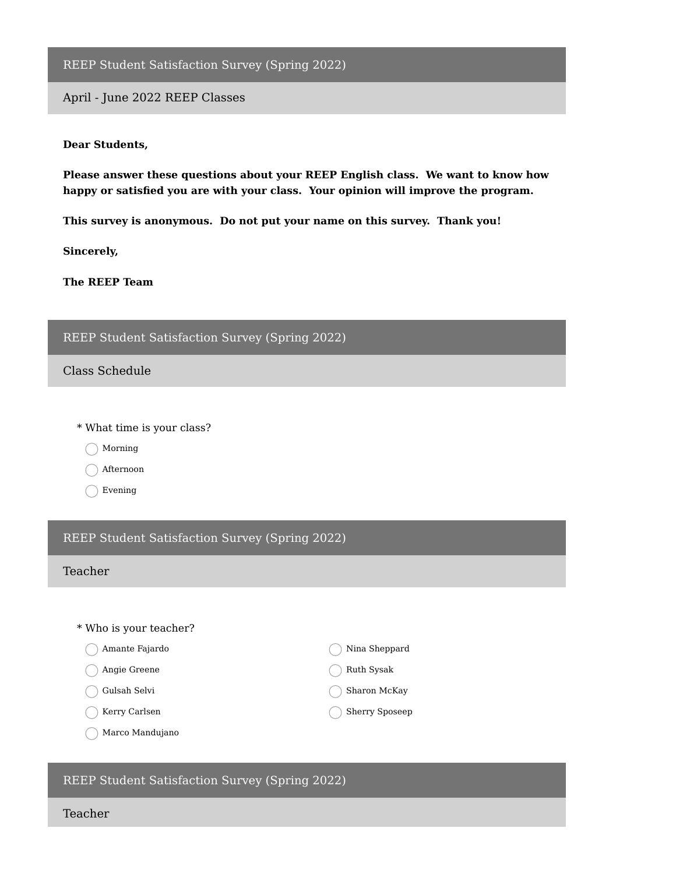REEP Student Satisfaction Survey (Spring 2022)

April - June 2022 REEP Classes

#### **Dear Students,**

**Please answer these questions about your REEP English class. We want to know how happy or satisfied you are with your class. Your opinion will improve the program.**

**This survey is anonymous. Do not put your name on this survey. Thank you!**

**Sincerely,**

**The REEP Team**

### REEP Student Satisfaction Survey (Spring 2022)

Class Schedule

\* What time is your class?

Morning

◯ Afternoon

◯ Evening

### REEP Student Satisfaction Survey (Spring 2022)

## Teacher

| * Who is your teacher? |                       |
|------------------------|-----------------------|
| Amante Fajardo         | Nina Sheppard         |
| Angie Greene           | Ruth Sysak            |
| Gulsah Selvi           | Sharon McKay          |
| Kerry Carlsen          | <b>Sherry Sposeep</b> |
| Marco Mandujano        |                       |

REEP Student Satisfaction Survey (Spring 2022)

Teacher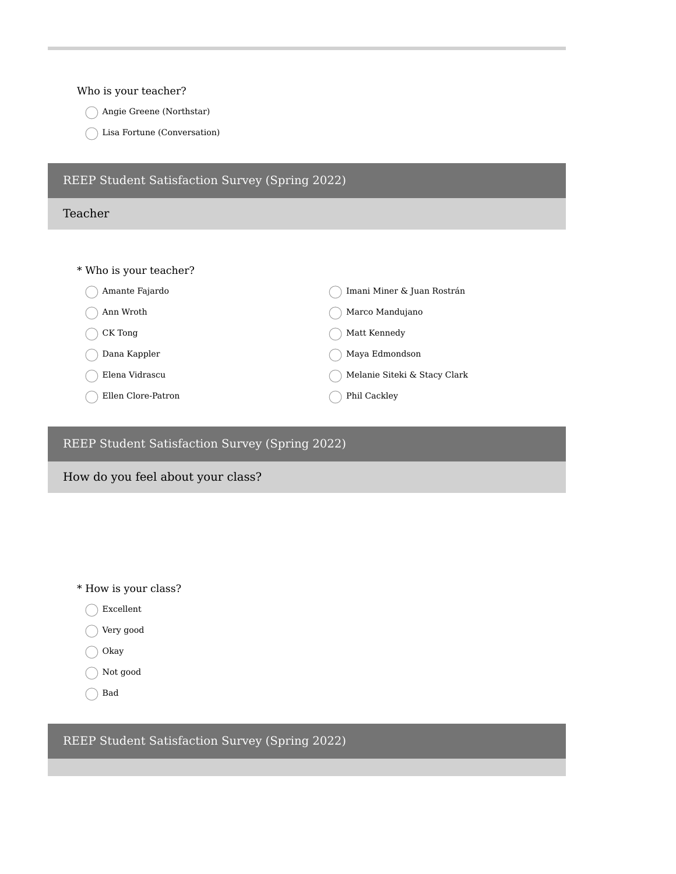### Who is your teacher?

- Angie Greene (Northstar)
- Lisa Fortune (Conversation)

| REEP Student Satisfaction Survey (Spring 2022) |                              |
|------------------------------------------------|------------------------------|
| Teacher                                        |                              |
|                                                |                              |
| * Who is your teacher?                         |                              |
| Amante Fajardo                                 | Imani Miner & Juan Rostrán   |
| Ann Wroth                                      | Marco Mandujano              |
| CK Tong                                        | Matt Kennedy                 |
| Dana Kappler                                   | Maya Edmondson               |
| Elena Vidrascu                                 | Melanie Siteki & Stacy Clark |
| Ellen Clore-Patron                             | Phil Cackley                 |

## REEP Student Satisfaction Survey (Spring 2022)

# How do you feel about your class?

- \* How is your class?
	- Excellent
	- Very good
	- $\bigcirc$  Okay
	- Not good
	- ◯ Bad

REEP Student Satisfaction Survey (Spring 2022)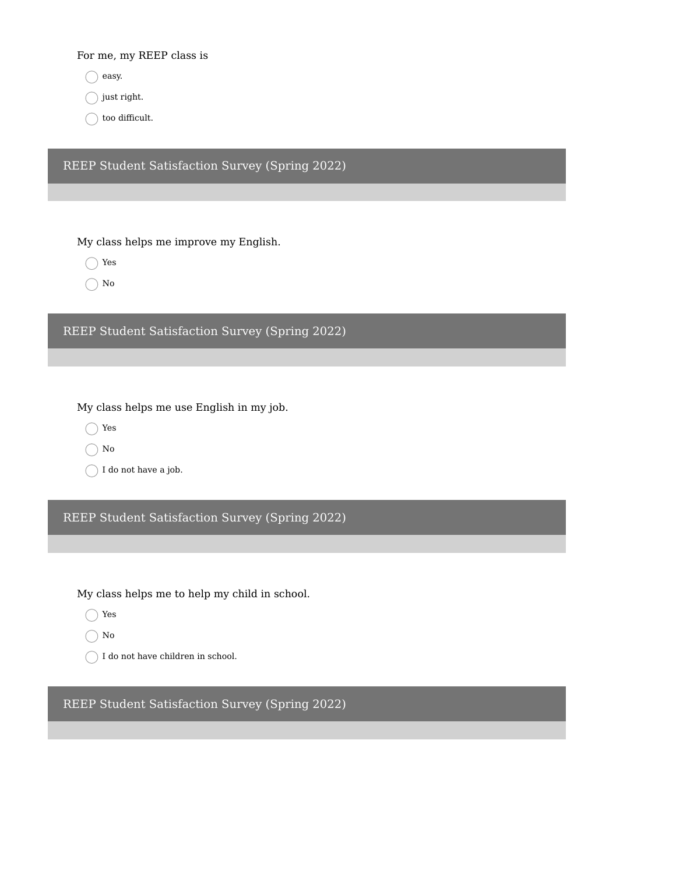For me, my REEP class is

 $\bigcap$  easy.

 $\bigcap$  just right.

 $\big)$  too difficult.

REEP Student Satisfaction Survey (Spring 2022)

My class helps me improve my English.

◯ Yes

 $\bigcap$  No

REEP Student Satisfaction Survey (Spring 2022)

My class helps me use English in my job.

Yes

 $\bigcap$  No

 $\bigcap$  I do not have a job.

REEP Student Satisfaction Survey (Spring 2022)

My class helps me to help my child in school.

◯ Yes

 $\bigcap$  No

 $\bigcap$  I do not have children in school.

REEP Student Satisfaction Survey (Spring 2022)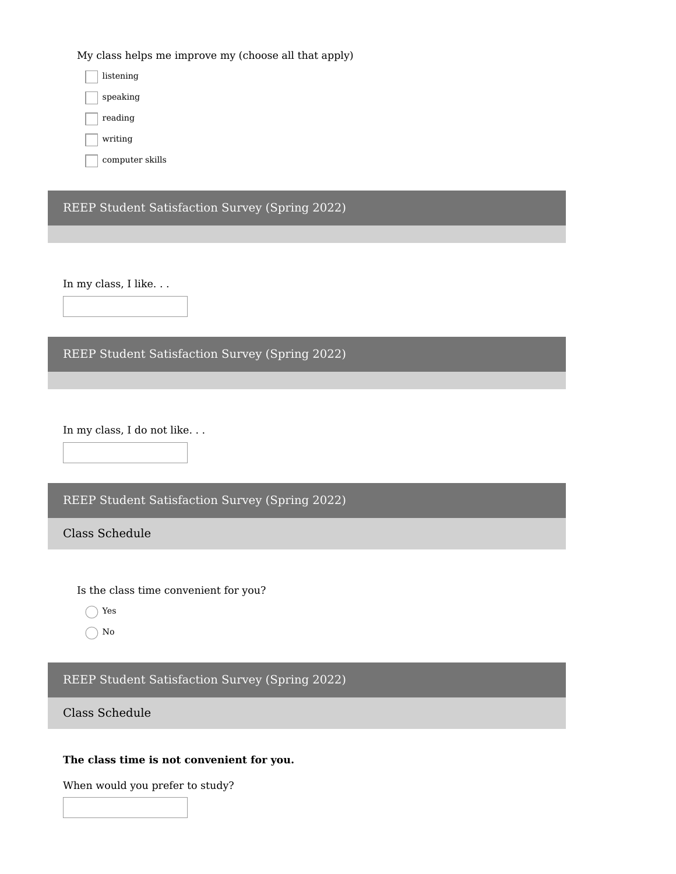My class helps me improve my (choose all that apply)

listening speaking reading writing

computer skills

REEP Student Satisfaction Survey (Spring 2022)

In my class, I like. . .

REEP Student Satisfaction Survey (Spring 2022)

In my class, I do not like. . .

REEP Student Satisfaction Survey (Spring 2022)

Class Schedule

Is the class time convenient for you?

◯ Yes

 $\bigcap$  No

## REEP Student Satisfaction Survey (Spring 2022)

Class Schedule

### **The class time is not convenient for you.**

When would you prefer to study?